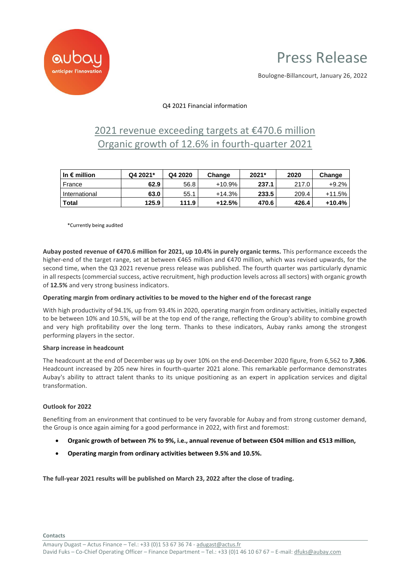

# Press Release

Boulogne-Billancourt, January 26, 2022

# Q4 2021 Financial information

# 2021 revenue exceeding targets at €470.6 million Organic growth of 12.6% in fourth-quarter 2021

| $\mathsf{In} \, \boldsymbol{\epsilon}$ million | Q4 2021* | Q4 2020 | Change   | 2021* | 2020  | Change   |
|------------------------------------------------|----------|---------|----------|-------|-------|----------|
| France                                         | 62.9     | 56.8    | +10.9%   | 237.1 | 217.0 | $+9.2%$  |
| l International                                | 63.0     | 55.1    | $+14.3%$ | 233.5 | 209.4 | $+11.5%$ |
| l Total                                        | 125.9    | 111.9   | $+12.5%$ | 470.6 | 426.4 | $+10.4%$ |

\*Currently being audited

**Aubay posted revenue of €470.6 million for 2021, up 10.4% in purely organic terms.** This performance exceeds the higher-end of the target range, set at between €465 million and €470 million, which was revised upwards, for the second time, when the Q3 2021 revenue press release was published. The fourth quarter was particularly dynamic in all respects (commercial success, active recruitment, high production levels across all sectors) with organic growth of **12.5%** and very strong business indicators.

# **Operating margin from ordinary activities to be moved to the higher end of the forecast range**

With high productivity of 94.1%, up from 93.4% in 2020, operating margin from ordinary activities, initially expected to be between 10% and 10.5%, will be at the top end of the range, reflecting the Group's ability to combine growth and very high profitability over the long term. Thanks to these indicators, Aubay ranks among the strongest performing players in the sector.

#### **Sharp increase in headcount**

The headcount at the end of December was up by over 10% on the end-December 2020 figure, from 6,562 to **7,306**. Headcount increased by 205 new hires in fourth-quarter 2021 alone. This remarkable performance demonstrates Aubay's ability to attract talent thanks to its unique positioning as an expert in application services and digital transformation.

# **Outlook for 2022**

Benefiting from an environment that continued to be very favorable for Aubay and from strong customer demand, the Group is once again aiming for a good performance in 2022, with first and foremost:

- **Organic growth of between 7% to 9%, i.e., annual revenue of between €504 million and €513 million,**
- **Operating margin from ordinary activities between 9.5% and 10.5%.**

**The full-year 2021 results will be published on March 23, 2022 after the close of trading.**

**Contacts**